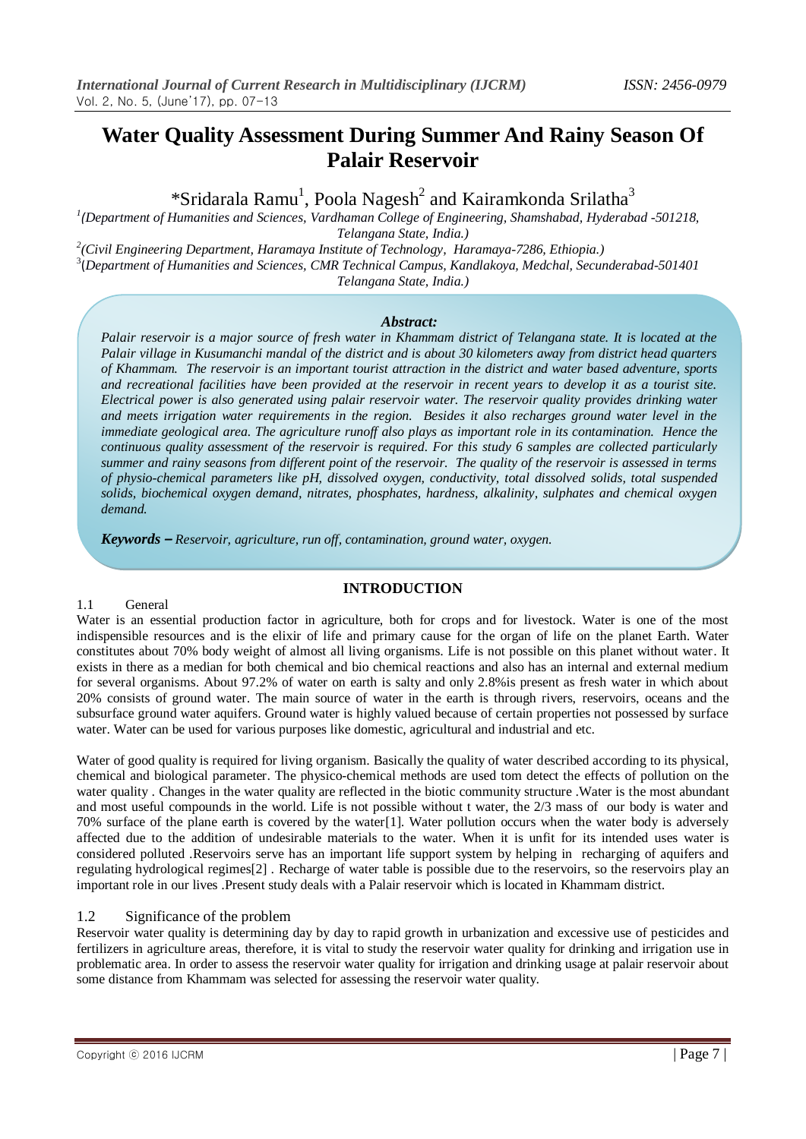# **Water Quality Assessment During Summer And Rainy Season Of Palair Reservoir**

\*Sridarala Ramu<sup>1</sup>, Poola Nagesh<sup>2</sup> and Kairamkonda Srilatha<sup>3</sup>

*1 (Department of Humanities and Sciences, Vardhaman College of Engineering, Shamshabad, Hyderabad -501218, Telangana State, India.)*

*2 (Civil Engineering Department, Haramaya Institute of Technology, Haramaya-7286, Ethiopia.)*

3 (*Department of Humanities and Sciences, CMR Technical Campus, Kandlakoya, Medchal, Secunderabad-501401 Telangana State, India.)*

# *Abstract:*

*Palair reservoir is a major source of fresh water in Khammam district of Telangana state. It is located at the Palair village in Kusumanchi mandal of the district and is about 30 kilometers away from district head quarters of Khammam. The reservoir is an important tourist attraction in the district and water based adventure, sports and recreational facilities have been provided at the reservoir in recent years to develop it as a tourist site. Electrical power is also generated using palair reservoir water. The reservoir quality provides drinking water and meets irrigation water requirements in the region. Besides it also recharges ground water level in the immediate geological area. The agriculture runoff also plays as important role in its contamination. Hence the continuous quality assessment of the reservoir is required. For this study 6 samples are collected particularly summer and rainy seasons from different point of the reservoir. The quality of the reservoir is assessed in terms of physio-chemical parameters like pH, dissolved oxygen, conductivity, total dissolved solids, total suspended solids, biochemical oxygen demand, nitrates, phosphates, hardness, alkalinity, sulphates and chemical oxygen demand.*

*Keywords – Reservoir, agriculture, run off, contamination, ground water, oxygen.*

# **INTRODUCTION**

#### 1.1 General

Water is an essential production factor in agriculture, both for crops and for livestock. Water is one of the most indispensible resources and is the elixir of life and primary cause for the organ of life on the planet Earth. Water constitutes about 70% body weight of almost all living organisms. Life is not possible on this planet without water. It exists in there as a median for both chemical and bio chemical reactions and also has an internal and external medium for several organisms. About 97.2% of water on earth is salty and only 2.8%is present as fresh water in which about 20% consists of ground water. The main source of water in the earth is through rivers, reservoirs, oceans and the subsurface ground water aquifers. Ground water is highly valued because of certain properties not possessed by surface water. Water can be used for various purposes like domestic, agricultural and industrial and etc.

Water of good quality is required for living organism. Basically the quality of water described according to its physical, chemical and biological parameter. The physico-chemical methods are used tom detect the effects of pollution on the water quality . Changes in the water quality are reflected in the biotic community structure .Water is the most abundant and most useful compounds in the world. Life is not possible without t water, the 2/3 mass of our body is water and 70% surface of the plane earth is covered by the water[1]. Water pollution occurs when the water body is adversely affected due to the addition of undesirable materials to the water. When it is unfit for its intended uses water is considered polluted .Reservoirs serve has an important life support system by helping in recharging of aquifers and regulating hydrological regimes[2] . Recharge of water table is possible due to the reservoirs, so the reservoirs play an important role in our lives .Present study deals with a Palair reservoir which is located in Khammam district.

#### 1.2 Significance of the problem

Reservoir water quality is determining day by day to rapid growth in urbanization and excessive use of pesticides and fertilizers in agriculture areas, therefore, it is vital to study the reservoir water quality for drinking and irrigation use in problematic area. In order to assess the reservoir water quality for irrigation and drinking usage at palair reservoir about some distance from Khammam was selected for assessing the reservoir water quality.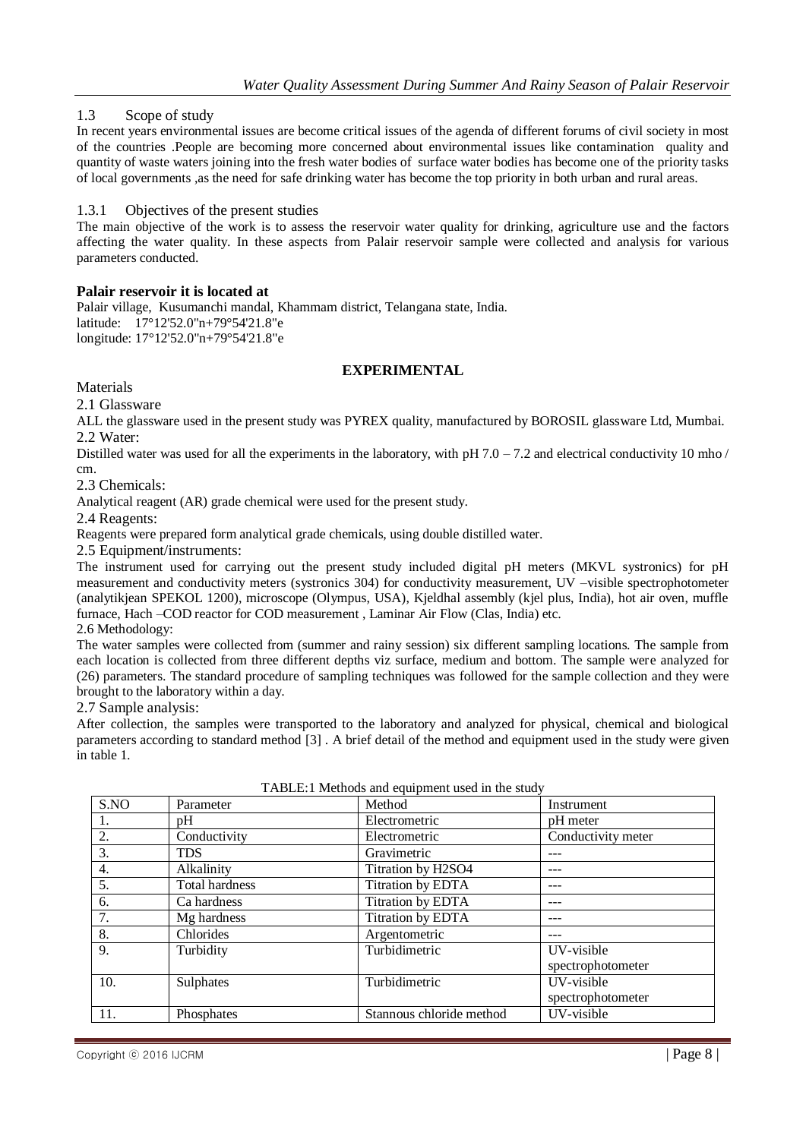1.3 Scope of study

In recent years environmental issues are become critical issues of the agenda of different forums of civil society in most of the countries .People are becoming more concerned about environmental issues like contamination quality and quantity of waste waters joining into the fresh water bodies of surface water bodies has become one of the priority tasks of local governments ,as the need for safe drinking water has become the top priority in both urban and rural areas.

#### 1.3.1 Objectives of the present studies

The main objective of the work is to assess the reservoir water quality for drinking, agriculture use and the factors affecting the water quality. In these aspects from Palair reservoir sample were collected and analysis for various parameters conducted.

#### **Palair reservoir it is located at**

Palair village, Kusumanchi mandal, Khammam district, Telangana state, India. latitude: 17°12'52.0"n+79°54'21.8"e longitude: 17°12'52.0"n+79°54'21.8"e

# **EXPERIMENTAL**

Materials

2.1 Glassware

ALL the glassware used in the present study was PYREX quality, manufactured by BOROSIL glassware Ltd, Mumbai. 2.2 Water:

Distilled water was used for all the experiments in the laboratory, with  $pH 7.0 - 7.2$  and electrical conductivity 10 mho / cm.

2.3 Chemicals:

Analytical reagent (AR) grade chemical were used for the present study.

2.4 Reagents:

Reagents were prepared form analytical grade chemicals, using double distilled water.

2.5 Equipment/instruments:

The instrument used for carrying out the present study included digital pH meters (MKVL systronics) for pH measurement and conductivity meters (systronics 304) for conductivity measurement, UV –visible spectrophotometer (analytikjean SPEKOL 1200), microscope (Olympus, USA), Kjeldhal assembly (kjel plus, India), hot air oven, muffle furnace, Hach –COD reactor for COD measurement , Laminar Air Flow (Clas, India) etc.

2.6 Methodology:

The water samples were collected from (summer and rainy session) six different sampling locations. The sample from each location is collected from three different depths viz surface, medium and bottom. The sample were analyzed for (26) parameters. The standard procedure of sampling techniques was followed for the sample collection and they were brought to the laboratory within a day.

2.7 Sample analysis:

After collection, the samples were transported to the laboratory and analyzed for physical, chemical and biological parameters according to standard method [3] . A brief detail of the method and equipment used in the study were given in table 1.

| S.NO             | Parameter             | Method                   | Instrument         |
|------------------|-----------------------|--------------------------|--------------------|
| 1.               | pH                    | Electrometric            | pH meter           |
| 2.               | Conductivity          | Electrometric            | Conductivity meter |
| 3.               | <b>TDS</b>            | Gravimetric              |                    |
| $\overline{4}$ . | Alkalinity            | Titration by H2SO4       |                    |
| 5.               | <b>Total hardness</b> | Titration by EDTA        |                    |
| 6.               | Ca hardness           | Titration by EDTA        |                    |
| 7.               | Mg hardness           | Titration by EDTA        |                    |
| 8.               | Chlorides             | Argentometric            |                    |
| $\overline{9}$ . | Turbidity             | Turbidimetric            | UV-visible         |
|                  |                       |                          | spectrophotometer  |
| 10.              | Sulphates             | Turbidimetric            | UV-visible         |
|                  |                       |                          | spectrophotometer  |
| 11.              | Phosphates            | Stannous chloride method | UV-visible         |
|                  |                       |                          |                    |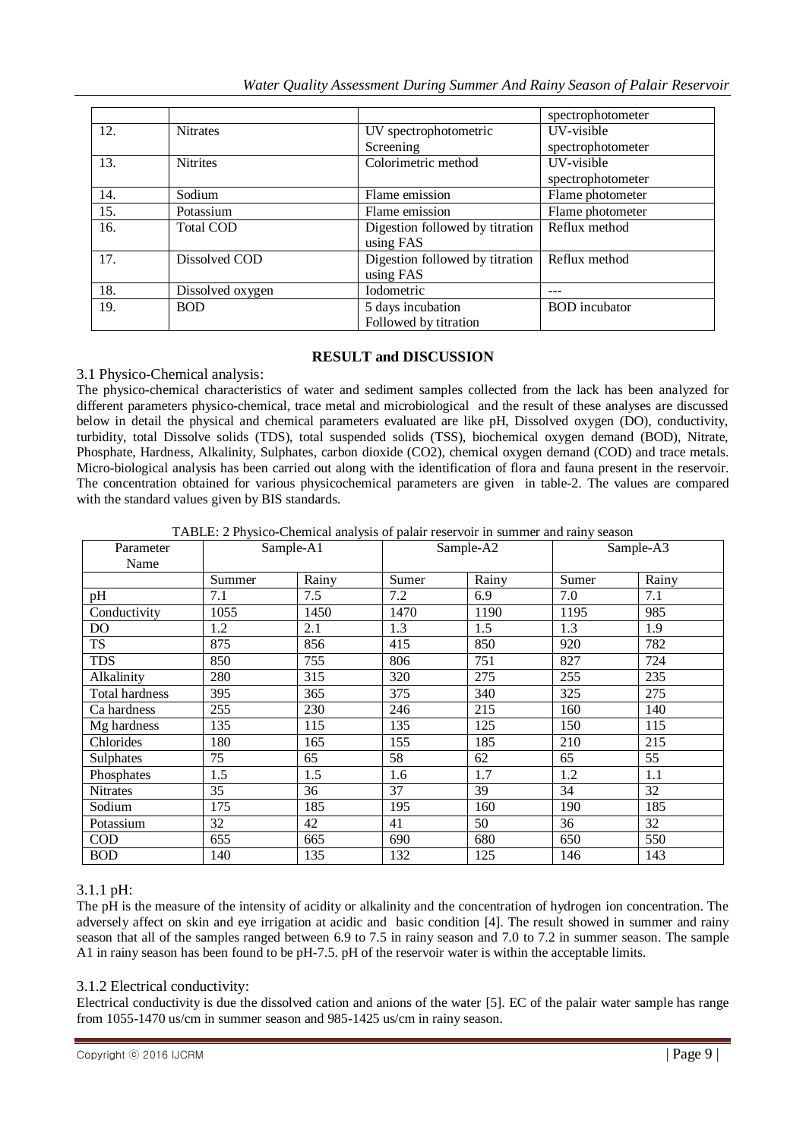*Water Quality Assessment During Summer And Rainy Season of Palair Reservoir*

|     |                  |                                 | spectrophotometer    |
|-----|------------------|---------------------------------|----------------------|
| 12. | <b>Nitrates</b>  | UV spectrophotometric           | UV-visible           |
|     |                  | Screening                       | spectrophotometer    |
| 13. | <b>Nitrites</b>  | Colorimetric method             | UV-visible           |
|     |                  |                                 | spectrophotometer    |
| 14. | Sodium           | Flame emission                  | Flame photometer     |
| 15. | Potassium        | Flame emission                  | Flame photometer     |
| 16. | <b>Total COD</b> | Digestion followed by titration | Reflux method        |
|     |                  | using FAS                       |                      |
| 17. | Dissolved COD    | Digestion followed by titration | Reflux method        |
|     |                  | using FAS                       |                      |
| 18. | Dissolved oxygen | <b>I</b> odometric              |                      |
| 19. | <b>BOD</b>       | 5 days incubation               | <b>BOD</b> incubator |
|     |                  | Followed by titration           |                      |

# **RESULT and DISCUSSION**

# 3.1 Physico-Chemical analysis:

The physico-chemical characteristics of water and sediment samples collected from the lack has been analyzed for different parameters physico-chemical, trace metal and microbiological and the result of these analyses are discussed below in detail the physical and chemical parameters evaluated are like pH, Dissolved oxygen (DO), conductivity, turbidity, total Dissolve solids (TDS), total suspended solids (TSS), biochemical oxygen demand (BOD), Nitrate, Phosphate, Hardness, Alkalinity, Sulphates, carbon dioxide (CO2), chemical oxygen demand (COD) and trace metals. Micro-biological analysis has been carried out along with the identification of flora and fauna present in the reservoir. The concentration obtained for various physicochemical parameters are given in table-2. The values are compared with the standard values given by BIS standards.

TABLE: 2 Physico-Chemical analysis of palair reservoir in summer and rainy season

| Parameter              | Sample-A1 |       | Sample-A2 |       | Sample-A3 |       |
|------------------------|-----------|-------|-----------|-------|-----------|-------|
| Name                   |           |       |           |       |           |       |
|                        | Summer    | Rainy | Sumer     | Rainy | Sumer     | Rainy |
| pH                     | 7.1       | 7.5   | 7.2       | 6.9   | 7.0       | 7.1   |
| Conductivity           | 1055      | 1450  | 1470      | 1190  | 1195      | 985   |
| <b>DO</b>              | 1.2       | 2.1   | 1.3       | 1.5   | 1.3       | 1.9   |
| $\overline{\text{TS}}$ | 875       | 856   | 415       | 850   | 920       | 782   |
| <b>TDS</b>             | 850       | 755   | 806       | 751   | 827       | 724   |
| Alkalinity             | 280       | 315   | 320       | 275   | 255       | 235   |
| Total hardness         | 395       | 365   | 375       | 340   | 325       | 275   |
| Ca hardness            | 255       | 230   | 246       | 215   | 160       | 140   |
| Mg hardness            | 135       | 115   | 135       | 125   | 150       | 115   |
| Chlorides              | 180       | 165   | 155       | 185   | 210       | 215   |
| Sulphates              | 75        | 65    | 58        | 62    | 65        | 55    |
| Phosphates             | 1.5       | 1.5   | 1.6       | 1.7   | 1.2       | 1.1   |
| <b>Nitrates</b>        | 35        | 36    | 37        | 39    | 34        | 32    |
| Sodium                 | 175       | 185   | 195       | 160   | 190       | 185   |
| Potassium              | 32        | 42    | 41        | 50    | 36        | 32    |
| $\rm COD$              | 655       | 665   | 690       | 680   | 650       | 550   |
| <b>BOD</b>             | 140       | 135   | 132       | 125   | 146       | 143   |

# 3.1.1 pH:

The pH is the measure of the intensity of acidity or alkalinity and the concentration of hydrogen ion concentration. The adversely affect on skin and eye irrigation at acidic and basic condition [4]. The result showed in summer and rainy season that all of the samples ranged between 6.9 to 7.5 in rainy season and 7.0 to 7.2 in summer season. The sample A1 in rainy season has been found to be pH-7.5. pH of the reservoir water is within the acceptable limits.

# 3.1.2 Electrical conductivity:

Electrical conductivity is due the dissolved cation and anions of the water [5]. EC of the palair water sample has range from 1055-1470 us/cm in summer season and 985-1425 us/cm in rainy season.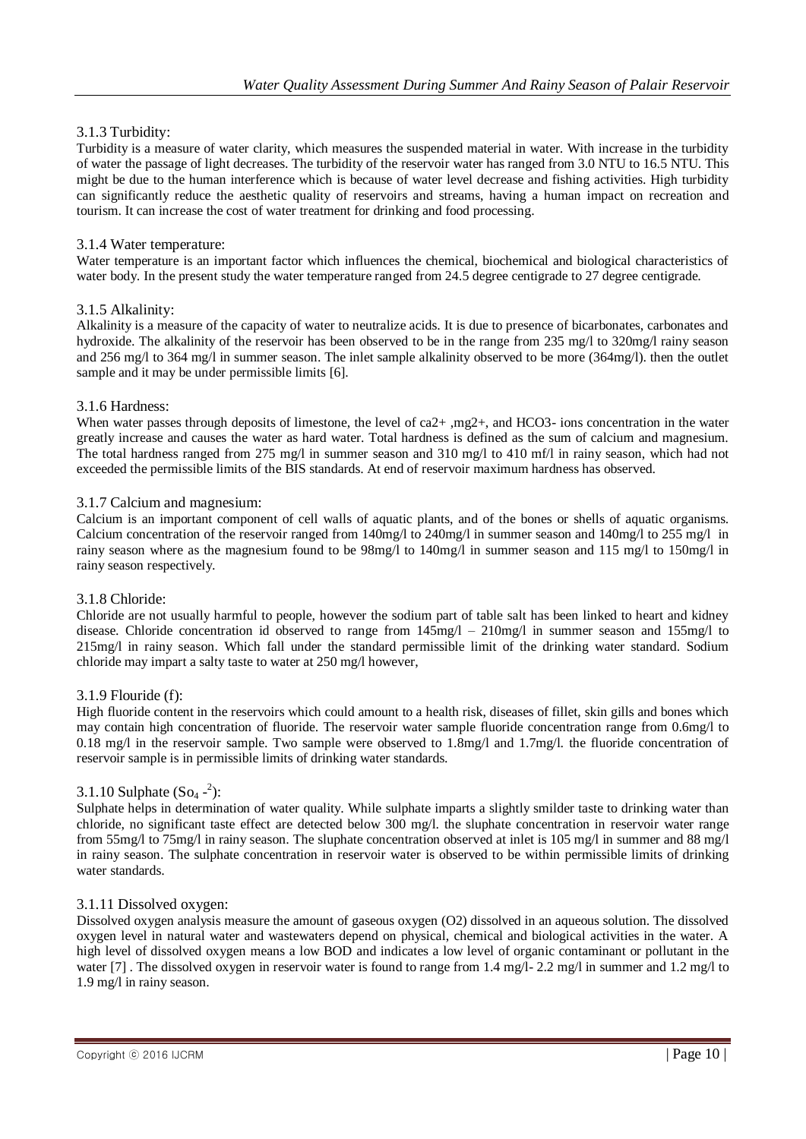# 3.1.3 Turbidity:

Turbidity is a measure of water clarity, which measures the suspended material in water. With increase in the turbidity of water the passage of light decreases. The turbidity of the reservoir water has ranged from 3.0 NTU to 16.5 NTU. This might be due to the human interference which is because of water level decrease and fishing activities. High turbidity can significantly reduce the aesthetic quality of reservoirs and streams, having a human impact on recreation and tourism. It can increase the cost of water treatment for drinking and food processing.

#### 3.1.4 Water temperature:

Water temperature is an important factor which influences the chemical, biochemical and biological characteristics of water body. In the present study the water temperature ranged from 24.5 degree centigrade to 27 degree centigrade.

# 3.1.5 Alkalinity:

Alkalinity is a measure of the capacity of water to neutralize acids. It is due to presence of bicarbonates, carbonates and hydroxide. The alkalinity of the reservoir has been observed to be in the range from 235 mg/l to 320mg/l rainy season and 256 mg/l to 364 mg/l in summer season. The inlet sample alkalinity observed to be more (364mg/l). then the outlet sample and it may be under permissible limits [6].

#### 3.1.6 Hardness:

When water passes through deposits of limestone, the level of ca2+ ,mg2+, and HCO3- ions concentration in the water greatly increase and causes the water as hard water. Total hardness is defined as the sum of calcium and magnesium. The total hardness ranged from 275 mg/l in summer season and 310 mg/l to 410 mf/l in rainy season, which had not exceeded the permissible limits of the BIS standards. At end of reservoir maximum hardness has observed.

#### 3.1.7 Calcium and magnesium:

Calcium is an important component of cell walls of aquatic plants, and of the bones or shells of aquatic organisms. Calcium concentration of the reservoir ranged from 140mg/l to 240mg/l in summer season and 140mg/l to 255 mg/l in rainy season where as the magnesium found to be  $98mg/1$  to  $140mg/1$  in summer season and  $115 mg/1$  to  $150mg/1$  in rainy season respectively.

#### 3.1.8 Chloride:

Chloride are not usually harmful to people, however the sodium part of table salt has been linked to heart and kidney disease. Chloride concentration id observed to range from 145mg/l – 210mg/l in summer season and 155mg/l to 215mg/l in rainy season. Which fall under the standard permissible limit of the drinking water standard. Sodium chloride may impart a salty taste to water at 250 mg/l however,

#### 3.1.9 Flouride (f):

High fluoride content in the reservoirs which could amount to a health risk, diseases of fillet, skin gills and bones which may contain high concentration of fluoride. The reservoir water sample fluoride concentration range from 0.6mg/l to 0.18 mg/l in the reservoir sample. Two sample were observed to 1.8mg/l and 1.7mg/l. the fluoride concentration of reservoir sample is in permissible limits of drinking water standards.

# 3.1.10 Sulphate  $(So_4 - 2)$ :

Sulphate helps in determination of water quality. While sulphate imparts a slightly smilder taste to drinking water than chloride, no significant taste effect are detected below 300 mg/l. the sluphate concentration in reservoir water range from 55mg/l to 75mg/l in rainy season. The sluphate concentration observed at inlet is 105 mg/l in summer and 88 mg/l in rainy season. The sulphate concentration in reservoir water is observed to be within permissible limits of drinking water standards.

# 3.1.11 Dissolved oxygen:

Dissolved oxygen analysis measure the amount of gaseous oxygen (O2) dissolved in an aqueous solution. The dissolved oxygen level in natural water and wastewaters depend on physical, chemical and biological activities in the water. A high level of dissolved oxygen means a low BOD and indicates a low level of organic contaminant or pollutant in the water [7]. The dissolved oxygen in reservoir water is found to range from 1.4 mg/l- 2.2 mg/l in summer and 1.2 mg/l to 1.9 mg/l in rainy season.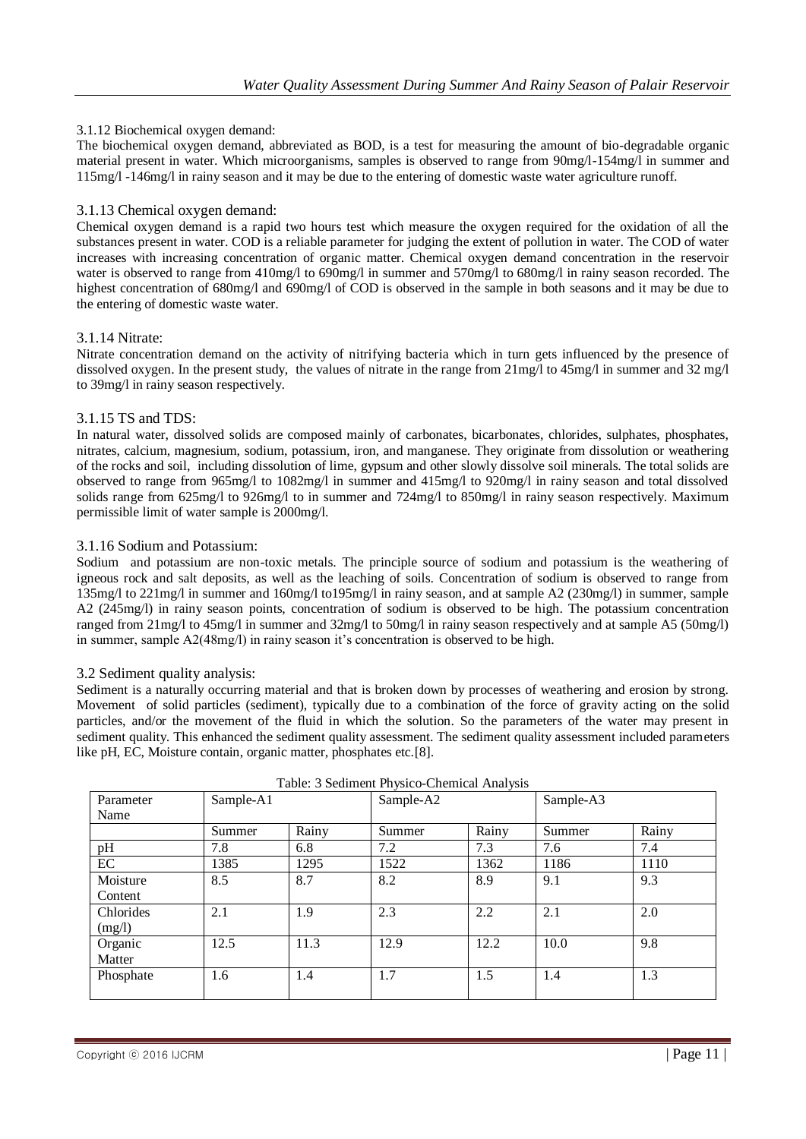# 3.1.12 Biochemical oxygen demand:

The biochemical oxygen demand, abbreviated as BOD, is a test for measuring the amount of bio-degradable organic material present in water. Which microorganisms, samples is observed to range from 90mg/l-154mg/l in summer and 115mg/l -146mg/l in rainy season and it may be due to the entering of domestic waste water agriculture runoff.

# 3.1.13 Chemical oxygen demand:

Chemical oxygen demand is a rapid two hours test which measure the oxygen required for the oxidation of all the substances present in water. COD is a reliable parameter for judging the extent of pollution in water. The COD of water increases with increasing concentration of organic matter. Chemical oxygen demand concentration in the reservoir water is observed to range from 410mg/l to 690mg/l in summer and 570mg/l to 680mg/l in rainy season recorded. The highest concentration of 680mg/l and 690mg/l of COD is observed in the sample in both seasons and it may be due to the entering of domestic waste water.

# 3.1.14 Nitrate:

Nitrate concentration demand on the activity of nitrifying bacteria which in turn gets influenced by the presence of dissolved oxygen. In the present study, the values of nitrate in the range from  $21$ mg/l to  $45$ mg/l in summer and  $32$  mg/l to 39mg/l in rainy season respectively.

# 3.1.15 TS and TDS:

In natural water, dissolved solids are composed mainly of carbonates, bicarbonates, chlorides, sulphates, phosphates, nitrates, calcium, magnesium, sodium, potassium, iron, and manganese. They originate from dissolution or weathering of the rocks and soil, including dissolution of lime, gypsum and other slowly dissolve soil minerals. The total solids are observed to range from 965mg/l to 1082mg/l in summer and 415mg/l to 920mg/l in rainy season and total dissolved solids range from 625mg/l to 926mg/l to in summer and 724mg/l to 850mg/l in rainy season respectively. Maximum permissible limit of water sample is 2000mg/l.

# 3.1.16 Sodium and Potassium:

Sodium and potassium are non-toxic metals. The principle source of sodium and potassium is the weathering of igneous rock and salt deposits, as well as the leaching of soils. Concentration of sodium is observed to range from 135mg/l to 221mg/l in summer and 160mg/l to195mg/l in rainy season, and at sample A2 (230mg/l) in summer, sample A2 (245mg/l) in rainy season points, concentration of sodium is observed to be high. The potassium concentration ranged from 21mg/l to 45mg/l in summer and 32mg/l to 50mg/l in rainy season respectively and at sample A5 (50mg/l) in summer, sample  $A2(48mg/1)$  in rainy season it's concentration is observed to be high.

# 3.2 Sediment quality analysis:

Sediment is a naturally occurring material and that is broken down by processes of weathering and erosion by strong. Movement of solid particles (sediment), typically due to a combination of the force of gravity acting on the solid particles, and/or the movement of the fluid in which the solution. So the parameters of the water may present in sediment quality. This enhanced the sediment quality assessment. The sediment quality assessment included parameters like pH, EC, Moisture contain, organic matter, phosphates etc.[8].

|           |           |       | Table. 5 Beamfull 1 if you'd Chemical 7 mar you |       |           |       |
|-----------|-----------|-------|-------------------------------------------------|-------|-----------|-------|
| Parameter | Sample-A1 |       | Sample-A2                                       |       | Sample-A3 |       |
| Name      |           |       |                                                 |       |           |       |
|           | Summer    | Rainy | Summer                                          | Rainy | Summer    | Rainy |
| pH        | 7.8       | 6.8   | 7.2                                             | 7.3   | 7.6       | 7.4   |
| EC        | 1385      | 1295  | 1522                                            | 1362  | 1186      | 1110  |
| Moisture  | 8.5       | 8.7   | 8.2                                             | 8.9   | 9.1       | 9.3   |
| Content   |           |       |                                                 |       |           |       |
| Chlorides | 2.1       | 1.9   | 2.3                                             | 2.2   | 2.1       | 2.0   |
| (mg/l)    |           |       |                                                 |       |           |       |
| Organic   | 12.5      | 11.3  | 12.9                                            | 12.2  | 10.0      | 9.8   |
| Matter    |           |       |                                                 |       |           |       |
| Phosphate | 1.6       | 1.4   | 1.7                                             | 1.5   | 1.4       | 1.3   |
|           |           |       |                                                 |       |           |       |

| Table: 3 Sediment Physico-Chemical Analysis |  |
|---------------------------------------------|--|
|---------------------------------------------|--|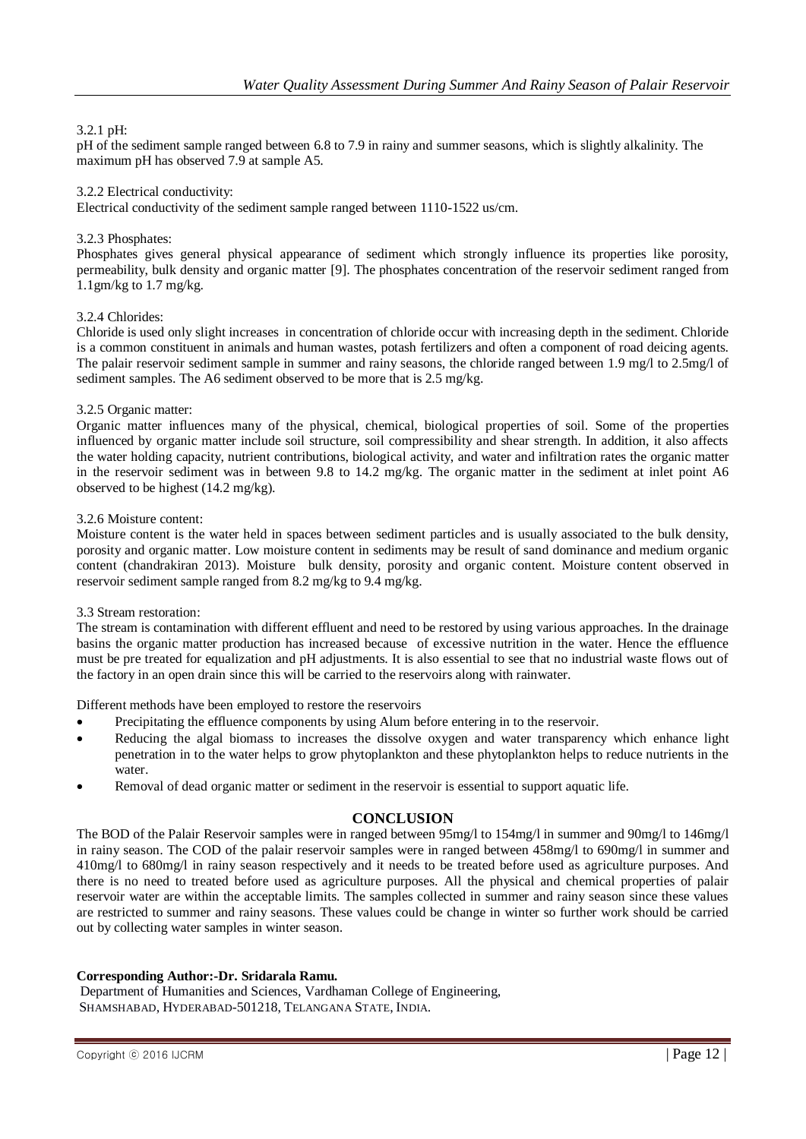# 3.2.1 pH:

pH of the sediment sample ranged between 6.8 to 7.9 in rainy and summer seasons, which is slightly alkalinity. The maximum pH has observed 7.9 at sample A5.

#### 3.2.2 Electrical conductivity:

Electrical conductivity of the sediment sample ranged between 1110-1522 us/cm.

#### 3.2.3 Phosphates:

Phosphates gives general physical appearance of sediment which strongly influence its properties like porosity, permeability, bulk density and organic matter [9]. The phosphates concentration of the reservoir sediment ranged from 1.1gm/kg to 1.7 mg/kg.

#### 3.2.4 Chlorides:

Chloride is used only slight increases in concentration of chloride occur with increasing depth in the sediment. Chloride is a common constituent in animals and human wastes, potash fertilizers and often a component of road deicing agents. The palair reservoir sediment sample in summer and rainy seasons, the chloride ranged between 1.9 mg/l to 2.5mg/l of sediment samples. The A6 sediment observed to be more that is 2.5 mg/kg.

#### 3.2.5 Organic matter:

Organic matter influences many of the physical, chemical, biological properties of soil. Some of the properties influenced by organic matter include soil structure, soil compressibility and shear strength. In addition, it also affects the water holding capacity, nutrient contributions, biological activity, and water and infiltration rates the organic matter in the reservoir sediment was in between 9.8 to 14.2 mg/kg. The organic matter in the sediment at inlet point A6 observed to be highest (14.2 mg/kg).

#### 3.2.6 Moisture content:

Moisture content is the water held in spaces between sediment particles and is usually associated to the bulk density, porosity and organic matter. Low moisture content in sediments may be result of sand dominance and medium organic content (chandrakiran 2013). Moisture bulk density, porosity and organic content. Moisture content observed in reservoir sediment sample ranged from 8.2 mg/kg to 9.4 mg/kg.

#### 3.3 Stream restoration:

The stream is contamination with different effluent and need to be restored by using various approaches. In the drainage basins the organic matter production has increased because of excessive nutrition in the water. Hence the effluence must be pre treated for equalization and pH adjustments. It is also essential to see that no industrial waste flows out of the factory in an open drain since this will be carried to the reservoirs along with rainwater.

Different methods have been employed to restore the reservoirs

- Precipitating the effluence components by using Alum before entering in to the reservoir.
- Reducing the algal biomass to increases the dissolve oxygen and water transparency which enhance light penetration in to the water helps to grow phytoplankton and these phytoplankton helps to reduce nutrients in the water.
- Removal of dead organic matter or sediment in the reservoir is essential to support aquatic life.

# **CONCLUSION**

The BOD of the Palair Reservoir samples were in ranged between 95mg/l to 154mg/l in summer and 90mg/l to 146mg/l in rainy season. The COD of the palair reservoir samples were in ranged between 458mg/l to 690mg/l in summer and 410mg/l to 680mg/l in rainy season respectively and it needs to be treated before used as agriculture purposes. And there is no need to treated before used as agriculture purposes. All the physical and chemical properties of palair reservoir water are within the acceptable limits. The samples collected in summer and rainy season since these values are restricted to summer and rainy seasons. These values could be change in winter so further work should be carried out by collecting water samples in winter season.

# **Corresponding Author:-Dr. Sridarala Ramu.**

Department of Humanities and Sciences, Vardhaman College of Engineering, SHAMSHABAD, HYDERABAD-501218, TELANGANA STATE, INDIA.